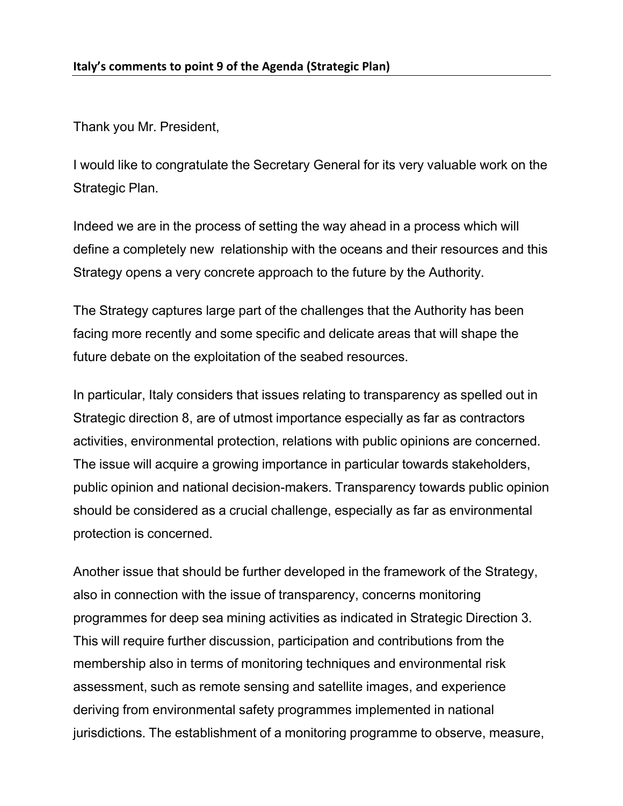Thank you Mr. President,

I would like to congratulate the Secretary General for its very valuable work on the Strategic Plan.

Indeed we are in the process of setting the way ahead in a process which will define a completely new relationship with the oceans and their resources and this Strategy opens a very concrete approach to the future by the Authority.

The Strategy captures large part of the challenges that the Authority has been facing more recently and some specific and delicate areas that will shape the future debate on the exploitation of the seabed resources.

In particular, Italy considers that issues relating to transparency as spelled out in Strategic direction 8, are of utmost importance especially as far as contractors activities, environmental protection, relations with public opinions are concerned. The issue will acquire a growing importance in particular towards stakeholders, public opinion and national decision-makers. Transparency towards public opinion should be considered as a crucial challenge, especially as far as environmental protection is concerned.

Another issue that should be further developed in the framework of the Strategy, also in connection with the issue of transparency, concerns monitoring programmes for deep sea mining activities as indicated in Strategic Direction 3. This will require further discussion, participation and contributions from the membership also in terms of monitoring techniques and environmental risk assessment, such as remote sensing and satellite images, and experience deriving from environmental safety programmes implemented in national jurisdictions. The establishment of a monitoring programme to observe, measure,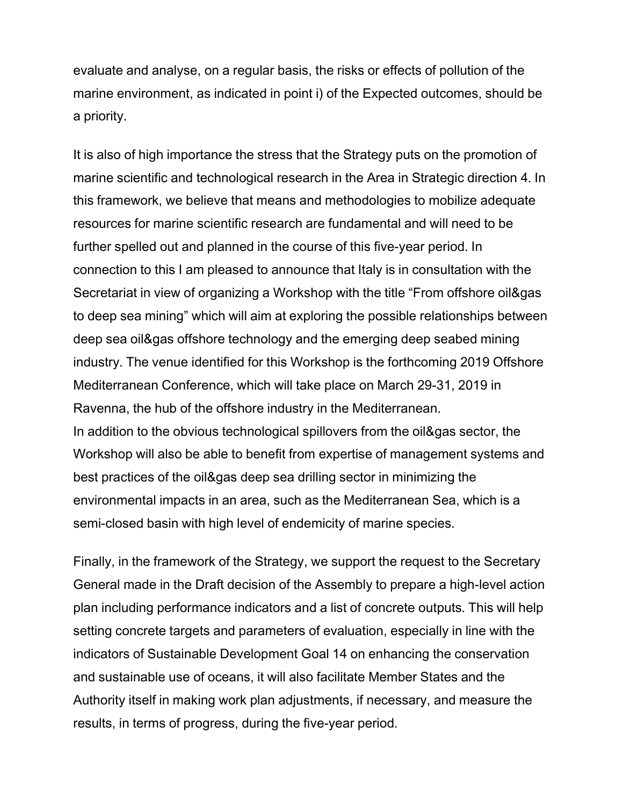evaluate and analyse, on a regular basis, the risks or effects of pollution of the marine environment, as indicated in point i) of the Expected outcomes, should be a priority.

It is also of high importance the stress that the Strategy puts on the promotion of marine scientific and technological research in the Area in Strategic direction 4. In this framework, we believe that means and methodologies to mobilize adequate resources for marine scientific research are fundamental and will need to be further spelled out and planned in the course of this five-year period. In connection to this I am pleased to announce that Italy is in consultation with the Secretariat in view of organizing a Workshop with the title "From offshore oil&gas to deep sea mining" which will aim at exploring the possible relationships between deep sea oil&gas offshore technology and the emerging deep seabed mining industry. The venue identified for this Workshop is the forthcoming 2019 Offshore Mediterranean Conference, which will take place on March 29-31, 2019 in Ravenna, the hub of the offshore industry in the Mediterranean. In addition to the obvious technological spillovers from the oil&gas sector, the Workshop will also be able to benefit from expertise of management systems and best practices of the oil&gas deep sea drilling sector in minimizing the environmental impacts in an area, such as the Mediterranean Sea, which is a semi-closed basin with high level of endemicity of marine species.

Finally, in the framework of the Strategy, we support the request to the Secretary General made in the Draft decision of the Assembly to prepare a high-level action plan including performance indicators and a list of concrete outputs. This will help setting concrete targets and parameters of evaluation, especially in line with the indicators of Sustainable Development Goal 14 on enhancing the conservation and sustainable use of oceans, it will also facilitate Member States and the Authority itself in making work plan adjustments, if necessary, and measure the results, in terms of progress, during the five-year period.